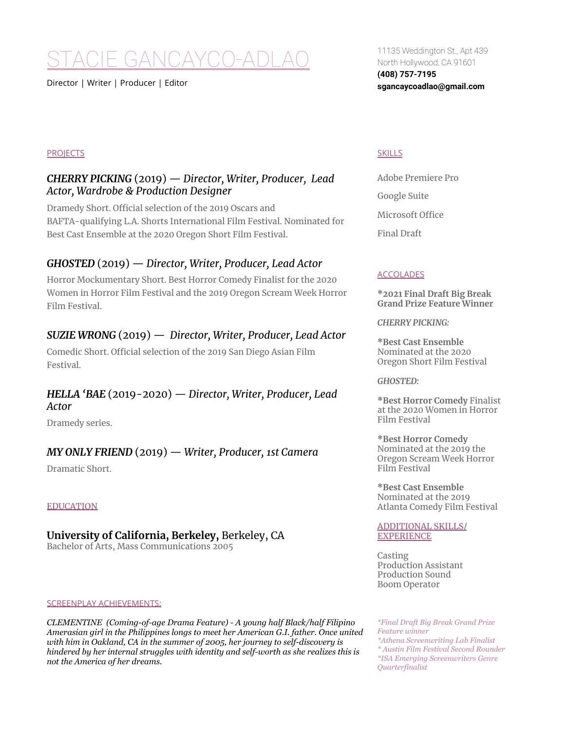# STACIE GANCAYCO-ADLAO

Director | Writer | Producer | Editor

## **PROJECTS**

## *CHERRY PICKING* (2019) — *Director, Writer, Producer, Lead Actor, Wardrobe & Production Designer*

Dramedy Short. Official selection of the 2019 Oscars and BAFTA-qualifying L.A. Shorts International Film Festival. Nominated for Best Cast Ensemble at the 2020 Oregon Short Film Festival.

# *GHOSTED* (2019) — *Director, Writer, Producer, Lead Actor*

Horror Mockumentary Short. Best Horror Comedy Finalist for the 2020 Women in Horror Film Festival and the 2019 Oregon Scream Week Horror Film Festival.

# *SUZIE WRONG* (2019) — *Director, Writer, Producer, Lead Actor*

Comedic Short. Official selection of the 2019 San Diego Asian Film Festival.

# *HELLA 'BAE* (2019-2020) — *Director, Writer, Producer, Lead Actor*

Dramedy series.

## *MY ONLY FRIEND* (2019) — *Writer, Producer, 1st Camera*

Dramatic Short.

## EDUCATION

**University of California, Berkeley,** Berkeley, CA Bachelor of Arts, Mass Communications 2005

#### SCREENPLAY ACHIEVEMENTS:

*CLEMENTINE (Coming-of-age Drama Feature) - A young half Black/half Filipino Amerasian girl in the Philippines longs to meet her American G.I. father. Once united with him in Oakland, CA in the summer of 2005, her journey to self-discovery is hindered by her internal struggles with identity and self-worth as she realizes this is not the America of her dreams.*

11135 Weddington St., Apt 439 North Hollywood, CA 91601 **(408) 757-7195 sgancaycoadlao@gmail.com**

## **SKILLS**

Adobe Premiere Pro Google Suite Microsoft Office Final Draft

## **ACCOLADES**

**\*2021 Final Draft Big Break Grand Prize Feature Winner**

*CHERRY PICKING:*

**\*Best Cast Ensemble** Nominated at the 2020 Oregon Short Film Festival

## *GHOSTED:*

**\*Best Horror Comedy** Finalist at the 2020 Women in Horror Film Festival

**\*Best Horror Comedy** Nominated at the 2019 the Oregon Scream Week Horror Film Festival

**\*Best Cast Ensemble** Nominated at the 2019 Atlanta Comedy Film Festival

#### ADDITIONAL SKILLS/ EXPERIENCE

Casting Production Assistant Production Sound Boom Operator

*\*Final Draft Big Break Grand Prize Feature winner \*Athena Screenwriting Lab Finalist \* Austin Film Festival Second Rounder \*ISA Emerging Screenwriters Genre Quarterfinalist*